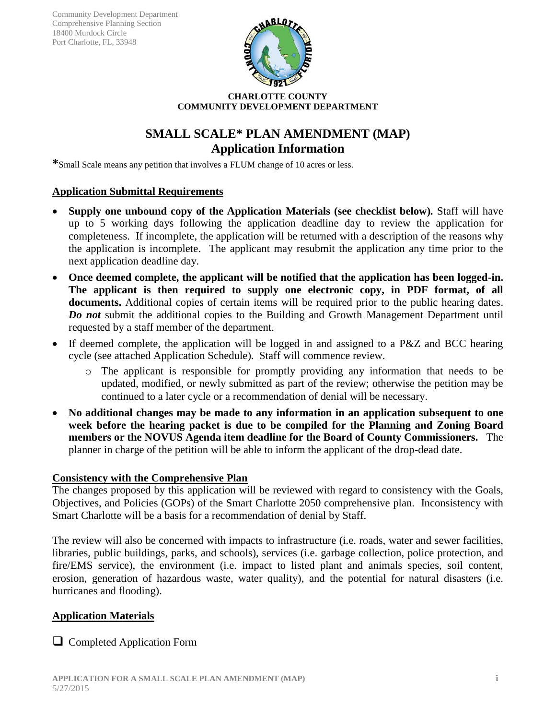

#### **CHARLOTTE COUNTY COMMUNITY DEVELOPMENT DEPARTMENT**

# **SMALL SCALE\* PLAN AMENDMENT (MAP) Application Information**

**\***Small Scale means any petition that involves a FLUM change of 10 acres or less.

#### **Application Submittal Requirements**

- **Supply one unbound copy of the Application Materials (see checklist below)***.* Staff will have up to 5 working days following the application deadline day to review the application for completeness. If incomplete, the application will be returned with a description of the reasons why the application is incomplete. The applicant may resubmit the application any time prior to the next application deadline day.
- **Once deemed complete, the applicant will be notified that the application has been logged-in. The applicant is then required to supply one electronic copy, in PDF format, of all documents.** Additional copies of certain items will be required prior to the public hearing dates. *Do not* submit the additional copies to the Building and Growth Management Department until requested by a staff member of the department.
- If deemed complete, the application will be logged in and assigned to a P&Z and BCC hearing cycle (see attached Application Schedule). Staff will commence review.
	- o The applicant is responsible for promptly providing any information that needs to be updated, modified, or newly submitted as part of the review; otherwise the petition may be continued to a later cycle or a recommendation of denial will be necessary.
- **No additional changes may be made to any information in an application subsequent to one week before the hearing packet is due to be compiled for the Planning and Zoning Board members or the NOVUS Agenda item deadline for the Board of County Commissioners.** The planner in charge of the petition will be able to inform the applicant of the drop-dead date.

#### **Consistency with the Comprehensive Plan**

The changes proposed by this application will be reviewed with regard to consistency with the Goals, Objectives, and Policies (GOPs) of the Smart Charlotte 2050 comprehensive plan. Inconsistency with Smart Charlotte will be a basis for a recommendation of denial by Staff.

The review will also be concerned with impacts to infrastructure (i.e. roads, water and sewer facilities, libraries, public buildings, parks, and schools), services (i.e. garbage collection, police protection, and fire/EMS service), the environment (i.e. impact to listed plant and animals species, soil content, erosion, generation of hazardous waste, water quality), and the potential for natural disasters (i.e. hurricanes and flooding).

## **Application Materials**

**Q** Completed Application Form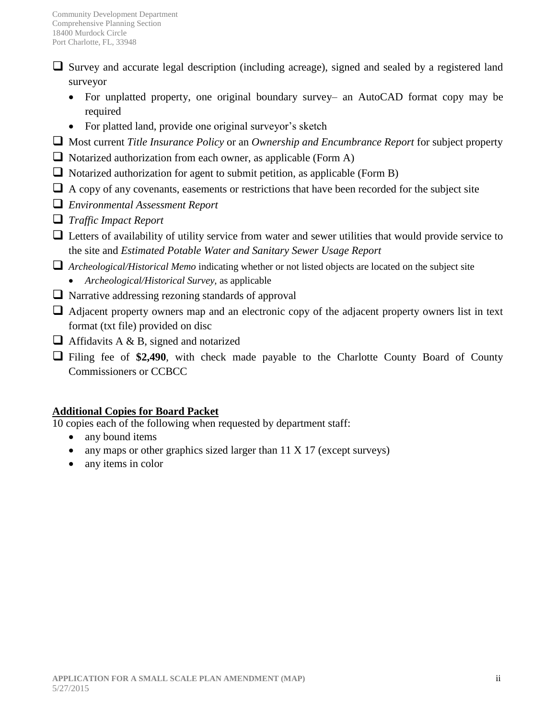- $\Box$  Survey and accurate legal description (including acreage), signed and sealed by a registered land surveyor
	- For unplatted property, one original boundary survey– an AutoCAD format copy may be required
	- For platted land, provide one original surveyor's sketch
- Most current *Title Insurance Policy* or an *Ownership and Encumbrance Report* for subject property
- $\Box$  Notarized authorization from each owner, as applicable (Form A)
- $\Box$  Notarized authorization for agent to submit petition, as applicable (Form B)
- $\Box$  A copy of any covenants, easements or restrictions that have been recorded for the subject site
- *Environmental Assessment Report*
- *Traffic Impact Report*
- $\Box$  Letters of availability of utility service from water and sewer utilities that would provide service to the site and *Estimated Potable Water and Sanitary Sewer Usage Report*
- *Archeological/Historical Memo* indicating whether or not listed objects are located on the subject site
	- *Archeological/Historical Survey,* as applicable
- $\Box$  Narrative addressing rezoning standards of approval
- Adjacent property owners map and an electronic copy of the adjacent property owners list in text format (txt file) provided on disc
- $\Box$  Affidavits A & B, signed and notarized
- Filing fee of **\$2,490**, with check made payable to the Charlotte County Board of County Commissioners or CCBCC

## **Additional Copies for Board Packet**

10 copies each of the following when requested by department staff:

- any bound items
- any maps or other graphics sized larger than  $11 \times 17$  (except surveys)
- any items in color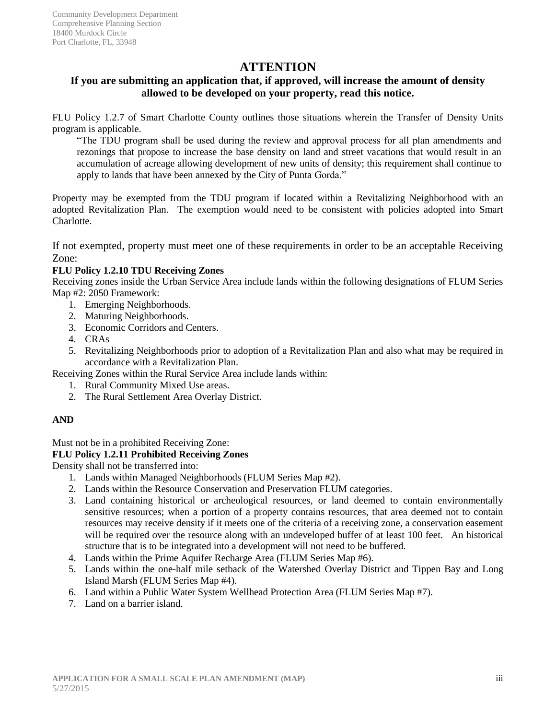# **ATTENTION**

## **If you are submitting an application that, if approved, will increase the amount of density allowed to be developed on your property, read this notice.**

FLU Policy 1.2.7 of Smart Charlotte County outlines those situations wherein the Transfer of Density Units program is applicable.

"The TDU program shall be used during the review and approval process for all plan amendments and rezonings that propose to increase the base density on land and street vacations that would result in an accumulation of acreage allowing development of new units of density; this requirement shall continue to apply to lands that have been annexed by the City of Punta Gorda."

Property may be exempted from the TDU program if located within a Revitalizing Neighborhood with an adopted Revitalization Plan. The exemption would need to be consistent with policies adopted into Smart Charlotte.

If not exempted, property must meet one of these requirements in order to be an acceptable Receiving Zone:

#### **FLU Policy 1.2.10 TDU Receiving Zones**

Receiving zones inside the Urban Service Area include lands within the following designations of FLUM Series Map #2: 2050 Framework:

- 1. Emerging Neighborhoods.
- 2. Maturing Neighborhoods.
- 3. Economic Corridors and Centers.
- 4. CRAs
- 5. Revitalizing Neighborhoods prior to adoption of a Revitalization Plan and also what may be required in accordance with a Revitalization Plan.

Receiving Zones within the Rural Service Area include lands within:

- 1. Rural Community Mixed Use areas.
- 2. The Rural Settlement Area Overlay District.

#### **AND**

Must not be in a prohibited Receiving Zone:

#### **FLU Policy 1.2.11 Prohibited Receiving Zones**

Density shall not be transferred into:

- 1. Lands within Managed Neighborhoods (FLUM Series Map #2).
- 2. Lands within the Resource Conservation and Preservation FLUM categories.
- 3. Land containing historical or archeological resources, or land deemed to contain environmentally sensitive resources; when a portion of a property contains resources, that area deemed not to contain resources may receive density if it meets one of the criteria of a receiving zone, a conservation easement will be required over the resource along with an undeveloped buffer of at least 100 feet. An historical structure that is to be integrated into a development will not need to be buffered.
- 4. Lands within the Prime Aquifer Recharge Area (FLUM Series Map #6).
- 5. Lands within the one-half mile setback of the Watershed Overlay District and Tippen Bay and Long Island Marsh (FLUM Series Map #4).
- 6. Land within a Public Water System Wellhead Protection Area (FLUM Series Map #7).
- 7. Land on a barrier island.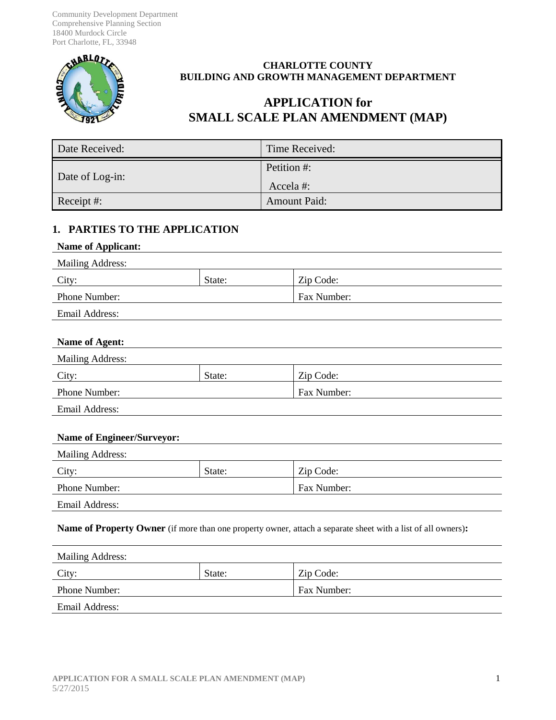Community Development Department Comprehensive Planning Section 18400 Murdock Circle Port Charlotte, FL, 33948



#### **CHARLOTTE COUNTY BUILDING AND GROWTH MANAGEMENT DEPARTMENT**

# **APPLICATION for SMALL SCALE PLAN AMENDMENT (MAP)**

| Date Received:  | Time Received:          |
|-----------------|-------------------------|
| Date of Log-in: | Petition #:<br>Accela#: |
| Receipt #:      | <b>Amount Paid:</b>     |

## **1. PARTIES TO THE APPLICATION**

#### **Name of Applicant:**

| <b>Mailing Address:</b> |        |             |
|-------------------------|--------|-------------|
| City:                   | State: | Zip Code:   |
| <b>Phone Number:</b>    |        | Fax Number: |
| Email Address:          |        |             |

#### **Name of Agent:**

| <b>Mailing Address:</b> |        |                    |
|-------------------------|--------|--------------------|
| City:                   | State: | Zip Code:          |
| <b>Phone Number:</b>    |        | <b>Fax Number:</b> |
| __ _ _ _ _              |        |                    |

Email Address:

#### **Name of Engineer/Surveyor:**

| <b>Mailing Address:</b> |        |             |
|-------------------------|--------|-------------|
| City:                   | State: | Zip Code:   |
| Phone Number:           |        | Fax Number: |
| Email Address:          |        |             |

**Name of Property Owner** (if more than one property owner, attach a separate sheet with a list of all owners)**:**

| <b>Mailing Address:</b> |        |             |
|-------------------------|--------|-------------|
| City:                   | State: | Zip Code:   |
| Phone Number:           |        | Fax Number: |
| <b>Email Address:</b>   |        |             |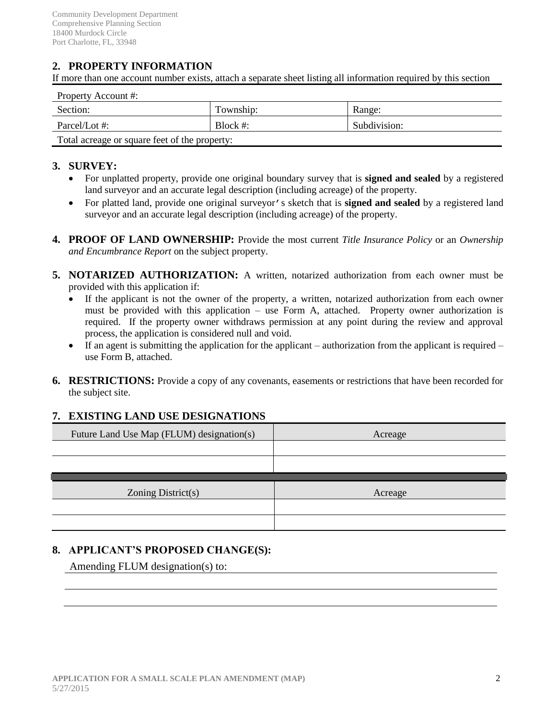# **2. PROPERTY INFORMATION**

If more than one account number exists, attach a separate sheet listing all information required by this section

| Property Account #:                           |             |              |  |
|-----------------------------------------------|-------------|--------------|--|
| Section:                                      | Township:   | Range:       |  |
| Parcel/Lot #:                                 | Block $#$ : | Subdivision: |  |
| Total acreage or square feet of the property: |             |              |  |

#### **3. SURVEY:**

- For unplatted property, provide one original boundary survey that is **signed and sealed** by a registered land surveyor and an accurate legal description (including acreage) of the property.
- For platted land, provide one original surveyor's sketch that is **signed and sealed** by a registered land surveyor and an accurate legal description (including acreage) of the property.
- **4. PROOF OF LAND OWNERSHIP:** Provide the most current *Title Insurance Policy* or an *Ownership and Encumbrance Report* on the subject property.
- **5. NOTARIZED AUTHORIZATION:** A written, notarized authorization from each owner must be provided with this application if:
	- If the applicant is not the owner of the property, a written, notarized authorization from each owner must be provided with this application – use Form A, attached. Property owner authorization is required. If the property owner withdraws permission at any point during the review and approval process, the application is considered null and void.
	- If an agent is submitting the application for the applicant authorization from the applicant is required use Form B, attached.
- **6. RESTRICTIONS:** Provide a copy of any covenants, easements or restrictions that have been recorded for the subject site.

## **7. EXISTING LAND USE DESIGNATIONS**

| Future Land Use Map (FLUM) designation(s) | Acreage |
|-------------------------------------------|---------|
|                                           |         |
|                                           |         |
|                                           |         |
| Zoning $District(s)$                      | Acreage |
|                                           |         |
|                                           |         |

# **8. APPLICANT'S PROPOSED CHANGE(S):**

Amending FLUM designation(s) to: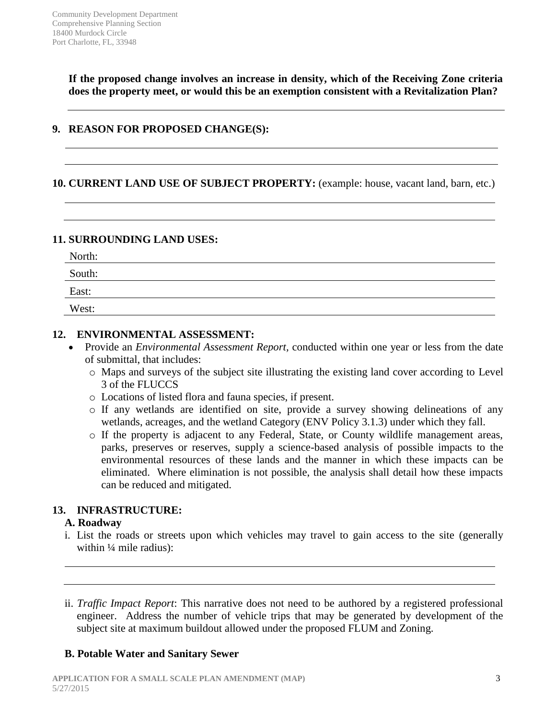**If the proposed change involves an increase in density, which of the Receiving Zone criteria does the property meet, or would this be an exemption consistent with a Revitalization Plan?**

## **9. REASON FOR PROPOSED CHANGE(S):**

## **10. CURRENT LAND USE OF SUBJECT PROPERTY:** (example: house, vacant land, barn, etc.)

#### **11. SURROUNDING LAND USES:**

| North: |  |  |
|--------|--|--|
| South: |  |  |
| East:  |  |  |
| West:  |  |  |

#### **12. ENVIRONMENTAL ASSESSMENT:**

- Provide an *Environmental Assessment Report,* conducted within one year or less from the date of submittal, that includes:
	- o Maps and surveys of the subject site illustrating the existing land cover according to Level 3 of the FLUCCS
	- o Locations of listed flora and fauna species, if present.
	- o If any wetlands are identified on site, provide a survey showing delineations of any wetlands, acreages, and the wetland Category (ENV Policy 3.1.3) under which they fall.
	- o If the property is adjacent to any Federal, State, or County wildlife management areas, parks, preserves or reserves, supply a science-based analysis of possible impacts to the environmental resources of these lands and the manner in which these impacts can be eliminated. Where elimination is not possible, the analysis shall detail how these impacts can be reduced and mitigated.

## **13. INFRASTRUCTURE:**

#### **A. Roadway**

- i. List the roads or streets upon which vehicles may travel to gain access to the site (generally within  $\frac{1}{4}$  mile radius):
- ii. *Traffic Impact Report*: This narrative does not need to be authored by a registered professional engineer. Address the number of vehicle trips that may be generated by development of the subject site at maximum buildout allowed under the proposed FLUM and Zoning.

## **B. Potable Water and Sanitary Sewer**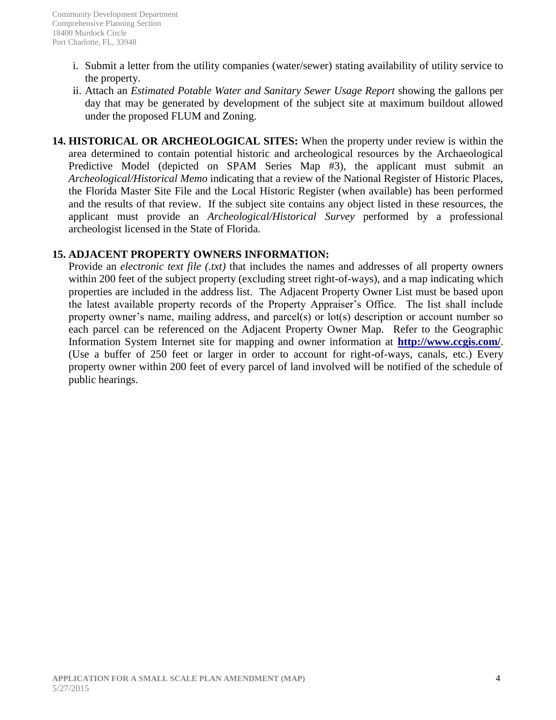- i. Submit a letter from the utility companies (water/sewer) stating availability of utility service to the property.
- ii. Attach an *Estimated Potable Water and Sanitary Sewer Usage Report* showing the gallons per day that may be generated by development of the subject site at maximum buildout allowed under the proposed FLUM and Zoning.
- **14. HISTORICAL OR ARCHEOLOGICAL SITES:** When the property under review is within the area determined to contain potential historic and archeological resources by the Archaeological Predictive Model (depicted on SPAM Series Map #3), the applicant must submit an *Archeological/Historical Memo* indicating that a review of the National Register of Historic Places, the Florida Master Site File and the Local Historic Register (when available) has been performed and the results of that review. If the subject site contains any object listed in these resources, the applicant must provide an *Archeological/Historical Survey* performed by a professional archeologist licensed in the State of Florida.

#### **15. ADJACENT PROPERTY OWNERS INFORMATION:**

Provide an *electronic text file (.txt)* that includes the names and addresses of all property owners within 200 feet of the subject property (excluding street right-of-ways), and a map indicating which properties are included in the address list. The Adjacent Property Owner List must be based upon the latest available property records of the Property Appraiser's Office. The list shall include property owner's name, mailing address, and parcel(s) or lot(s) description or account number so each parcel can be referenced on the Adjacent Property Owner Map. Refer to the Geographic Information System Internet site for mapping and owner information at **http://www.ccgis.com/**. (Use a buffer of 250 feet or larger in order to account for right-of-ways, canals, etc.) Every property owner within 200 feet of every parcel of land involved will be notified of the schedule of public hearings.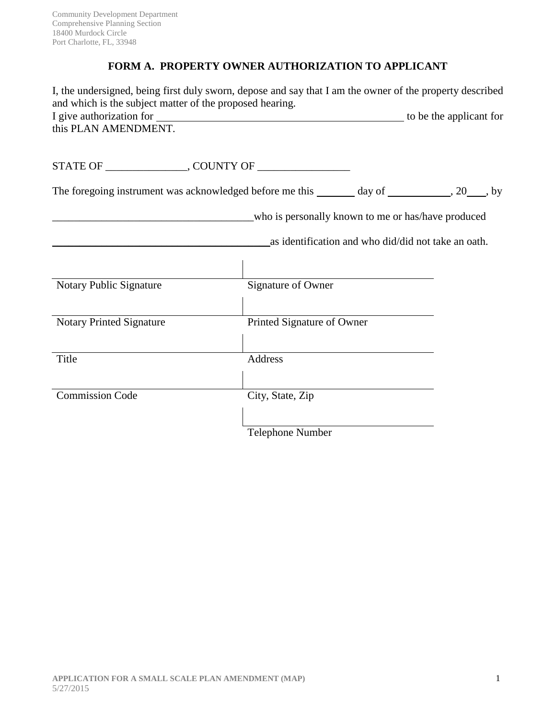# **FORM A. PROPERTY OWNER AUTHORIZATION TO APPLICANT**

| I, the undersigned, being first duly sworn, depose and say that I am the owner of the property described<br>and which is the subject matter of the proposed hearing. |                                                    |                                                     |  |
|----------------------------------------------------------------------------------------------------------------------------------------------------------------------|----------------------------------------------------|-----------------------------------------------------|--|
| this PLAN AMENDMENT.                                                                                                                                                 |                                                    |                                                     |  |
|                                                                                                                                                                      |                                                    |                                                     |  |
| The foregoing instrument was acknowledged before me this _______ day of __________, 20___, by                                                                        |                                                    |                                                     |  |
|                                                                                                                                                                      | who is personally known to me or has/have produced |                                                     |  |
|                                                                                                                                                                      |                                                    | as identification and who did/did not take an oath. |  |
|                                                                                                                                                                      |                                                    |                                                     |  |
| Notary Public Signature                                                                                                                                              | Signature of Owner                                 |                                                     |  |
| <b>Notary Printed Signature</b>                                                                                                                                      | Printed Signature of Owner                         |                                                     |  |
|                                                                                                                                                                      |                                                    |                                                     |  |
| Title                                                                                                                                                                | Address                                            |                                                     |  |
| <b>Commission Code</b>                                                                                                                                               | City, State, Zip                                   |                                                     |  |
|                                                                                                                                                                      |                                                    |                                                     |  |
|                                                                                                                                                                      | Telephone Number                                   |                                                     |  |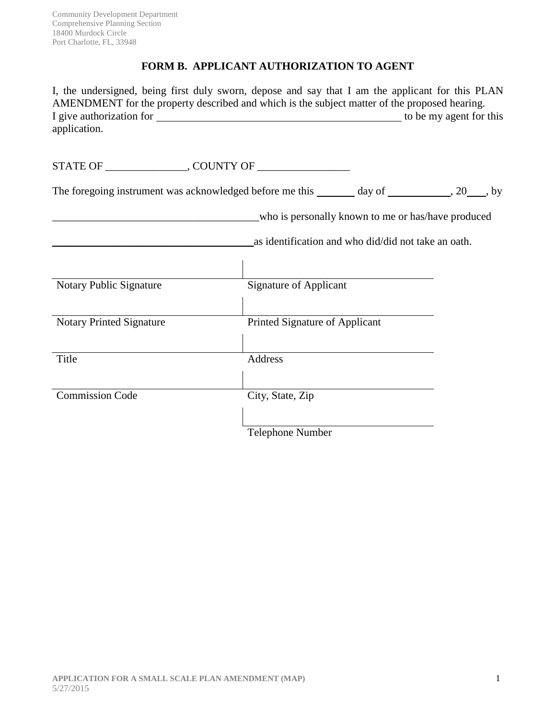## **FORM B. APPLICANT AUTHORIZATION TO AGENT**

I, the undersigned, being first duly sworn, depose and say that I am the applicant for this PLAN AMENDMENT for the property described and which is the subject matter of the proposed hearing. I give authorization for this to be my agent for this application.

STATE OF \_\_\_\_\_\_\_\_\_\_\_\_\_\_\_, COUNTY OF \_\_\_\_\_\_\_\_\_\_\_\_\_\_\_\_\_

The foregoing instrument was acknowledged before me this  $\_\_\_\_$  day of  $\_\_\_\_\_$ , 20  $\_\_\_$ , by

\_\_\_\_\_\_\_\_\_\_\_\_\_\_\_\_\_\_\_\_\_\_\_\_\_\_\_\_\_\_\_\_\_\_\_\_\_\_who is personally known to me or has/have produced

\_\_\_\_\_\_\_\_\_\_\_\_\_\_\_\_\_\_\_\_\_\_\_\_\_\_\_\_\_\_\_\_\_\_\_\_\_as identification and who did/did not take an oath.

| Notary Public Signature         | <b>Signature of Applicant</b>  |
|---------------------------------|--------------------------------|
|                                 |                                |
|                                 |                                |
| <b>Notary Printed Signature</b> | Printed Signature of Applicant |
|                                 |                                |
|                                 |                                |
| Title                           | Address                        |
|                                 |                                |
|                                 |                                |
| <b>Commission Code</b>          | City, State, Zip               |
|                                 |                                |
|                                 |                                |
|                                 | Talanhana Number               |

 $\mathbb{R}$ 

Telephone Number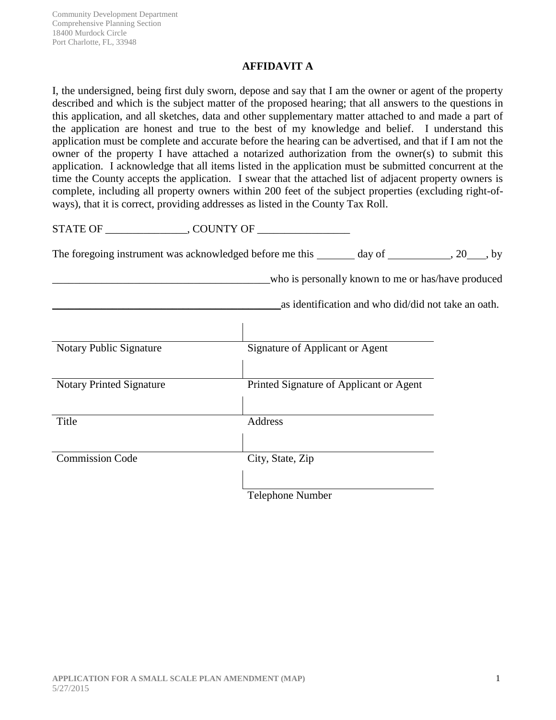#### **AFFIDAVIT A**

I, the undersigned, being first duly sworn, depose and say that I am the owner or agent of the property described and which is the subject matter of the proposed hearing; that all answers to the questions in this application, and all sketches, data and other supplementary matter attached to and made a part of the application are honest and true to the best of my knowledge and belief. I understand this application must be complete and accurate before the hearing can be advertised, and that if I am not the owner of the property I have attached a notarized authorization from the owner(s) to submit this application. I acknowledge that all items listed in the application must be submitted concurrent at the time the County accepts the application. I swear that the attached list of adjacent property owners is complete, including all property owners within 200 feet of the subject properties (excluding right-ofways), that it is correct, providing addresses as listed in the County Tax Roll.

STATE OF \_\_\_\_\_\_\_\_\_\_\_\_\_\_\_, COUNTY OF \_\_\_\_\_\_\_\_\_\_\_\_\_\_\_\_\_

The foregoing instrument was acknowledged before me this  $\_\_$  day of  $\_\_$ , 20  $\_\_$ , by

\_\_\_\_\_\_\_\_\_\_\_\_\_\_\_\_\_\_\_\_\_\_\_\_\_\_\_\_\_\_\_\_\_\_\_\_\_\_\_\_who is personally known to me or has/have produced

\_\_\_\_\_\_\_\_\_\_\_\_\_\_\_\_\_\_\_\_\_\_\_\_\_\_\_\_\_\_\_\_\_\_\_\_\_\_\_\_\_\_as identification and who did/did not take an oath.

| Notary Public Signature         | Signature of Applicant or Agent         |
|---------------------------------|-----------------------------------------|
| <b>Notary Printed Signature</b> | Printed Signature of Applicant or Agent |
| Title                           | Address                                 |
| <b>Commission Code</b>          | City, State, Zip                        |
|                                 | <b>Telephone Number</b>                 |